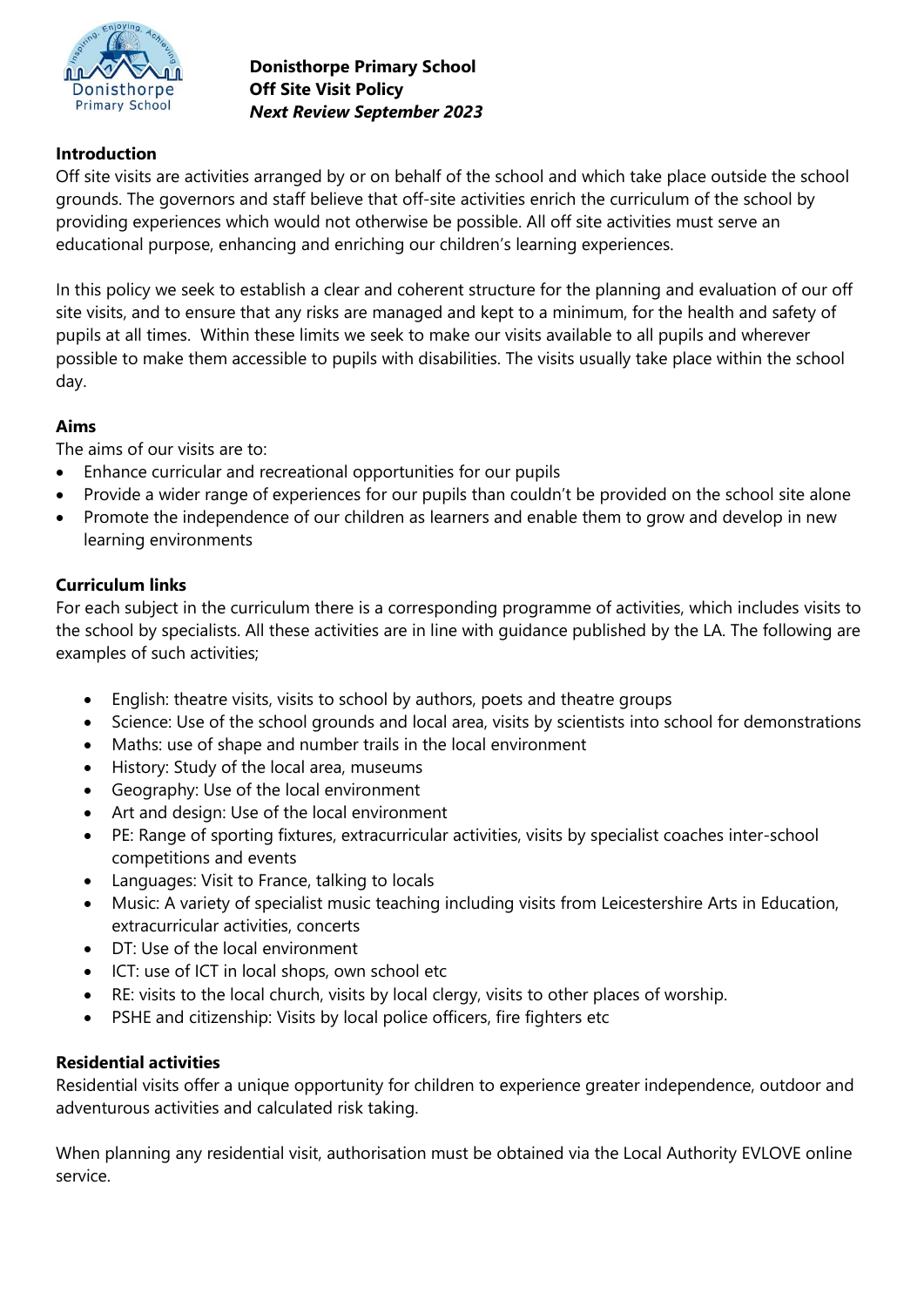

**Donisthorpe Primary School Off Site Visit Policy** *Next Review September 2023*

# **Introduction**

Off site visits are activities arranged by or on behalf of the school and which take place outside the school grounds. The governors and staff believe that off-site activities enrich the curriculum of the school by providing experiences which would not otherwise be possible. All off site activities must serve an educational purpose, enhancing and enriching our children's learning experiences.

In this policy we seek to establish a clear and coherent structure for the planning and evaluation of our off site visits, and to ensure that any risks are managed and kept to a minimum, for the health and safety of pupils at all times. Within these limits we seek to make our visits available to all pupils and wherever possible to make them accessible to pupils with disabilities. The visits usually take place within the school day.

## **Aims**

The aims of our visits are to:

- Enhance curricular and recreational opportunities for our pupils
- Provide a wider range of experiences for our pupils than couldn't be provided on the school site alone
- Promote the independence of our children as learners and enable them to grow and develop in new learning environments

## **Curriculum links**

For each subject in the curriculum there is a corresponding programme of activities, which includes visits to the school by specialists. All these activities are in line with guidance published by the LA. The following are examples of such activities;

- English: theatre visits, visits to school by authors, poets and theatre groups
- Science: Use of the school grounds and local area, visits by scientists into school for demonstrations
- Maths: use of shape and number trails in the local environment
- History: Study of the local area, museums
- Geography: Use of the local environment
- Art and design: Use of the local environment
- PE: Range of sporting fixtures, extracurricular activities, visits by specialist coaches inter-school competitions and events
- Languages: Visit to France, talking to locals
- Music: A variety of specialist music teaching including visits from Leicestershire Arts in Education, extracurricular activities, concerts
- DT: Use of the local environment
- ICT: use of ICT in local shops, own school etc
- RE: visits to the local church, visits by local clergy, visits to other places of worship.
- PSHE and citizenship: Visits by local police officers, fire fighters etc

## **Residential activities**

Residential visits offer a unique opportunity for children to experience greater independence, outdoor and adventurous activities and calculated risk taking.

When planning any residential visit, authorisation must be obtained via the Local Authority EVLOVE online service.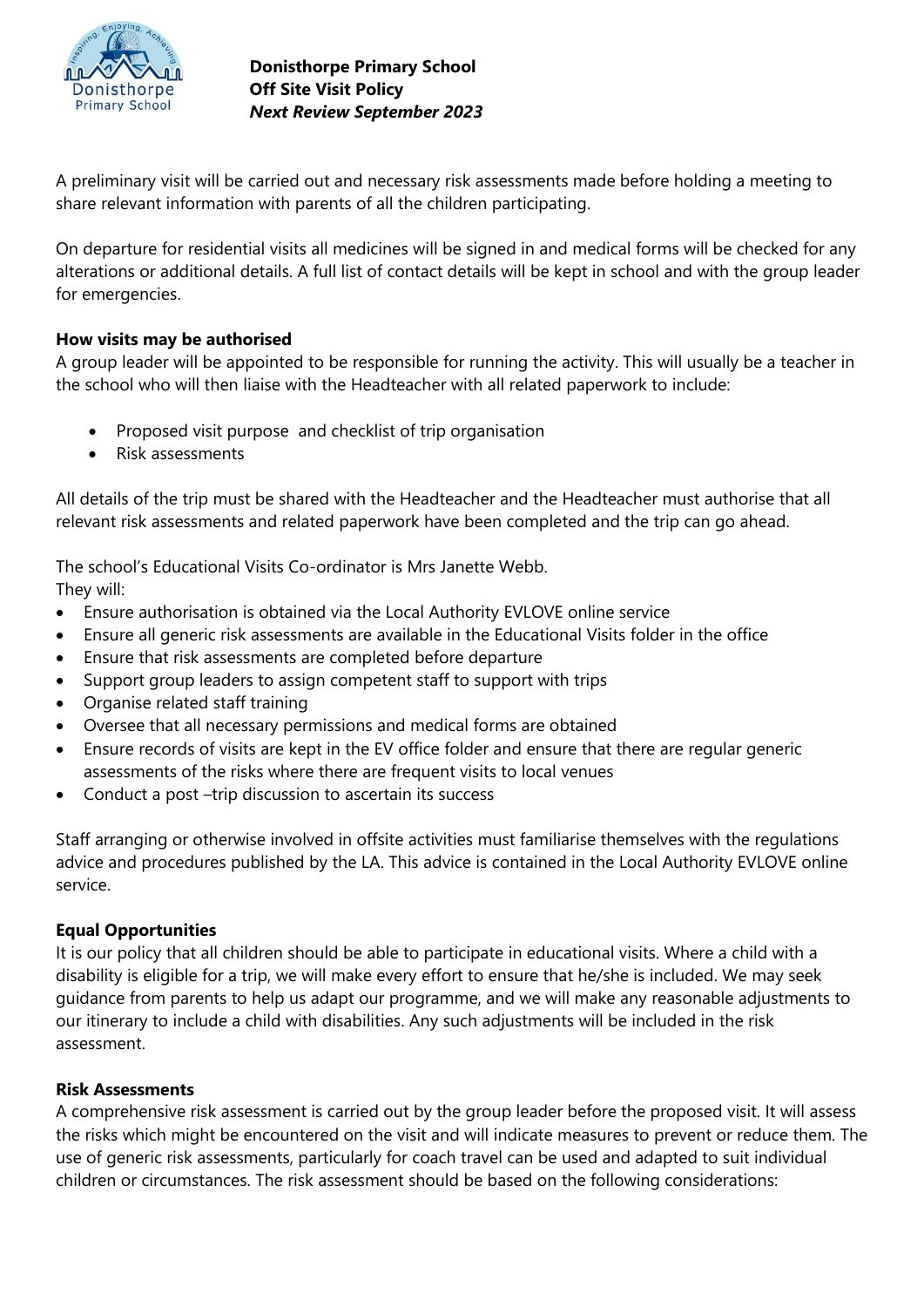

A preliminary visit will be carried out and necessary risk assessments made before holding a meeting to share relevant information with parents of all the children participating.

On departure for residential visits all medicines will be signed in and medical forms will be checked for any alterations or additional details. A full list of contact details will be kept in school and with the group leader for emergencies.

# **How visits may be authorised**

A group leader will be appointed to be responsible for running the activity. This will usually be a teacher in the school who will then liaise with the Headteacher with all related paperwork to include:

- Proposed visit purpose and checklist of trip organisation
- Risk assessments

All details of the trip must be shared with the Headteacher and the Headteacher must authorise that all relevant risk assessments and related paperwork have been completed and the trip can go ahead.

The school's Educational Visits Co-ordinator is Mrs Janette Webb. They will:

- Ensure authorisation is obtained via the Local Authority EVLOVE online service
- Ensure all generic risk assessments are available in the Educational Visits folder in the office
- Ensure that risk assessments are completed before departure
- Support group leaders to assign competent staff to support with trips
- Organise related staff training
- Oversee that all necessary permissions and medical forms are obtained
- Ensure records of visits are kept in the EV office folder and ensure that there are regular generic assessments of the risks where there are frequent visits to local venues
- Conduct a post –trip discussion to ascertain its success

Staff arranging or otherwise involved in offsite activities must familiarise themselves with the regulations advice and procedures published by the LA. This advice is contained in the Local Authority EVLOVE online service.

## **Equal Opportunities**

It is our policy that all children should be able to participate in educational visits. Where a child with a disability is eligible for a trip, we will make every effort to ensure that he/she is included. We may seek guidance from parents to help us adapt our programme, and we will make any reasonable adjustments to our itinerary to include a child with disabilities. Any such adjustments will be included in the risk assessment.

## **Risk Assessments**

A comprehensive risk assessment is carried out by the group leader before the proposed visit. It will assess the risks which might be encountered on the visit and will indicate measures to prevent or reduce them. The use of generic risk assessments, particularly for coach travel can be used and adapted to suit individual children or circumstances. The risk assessment should be based on the following considerations: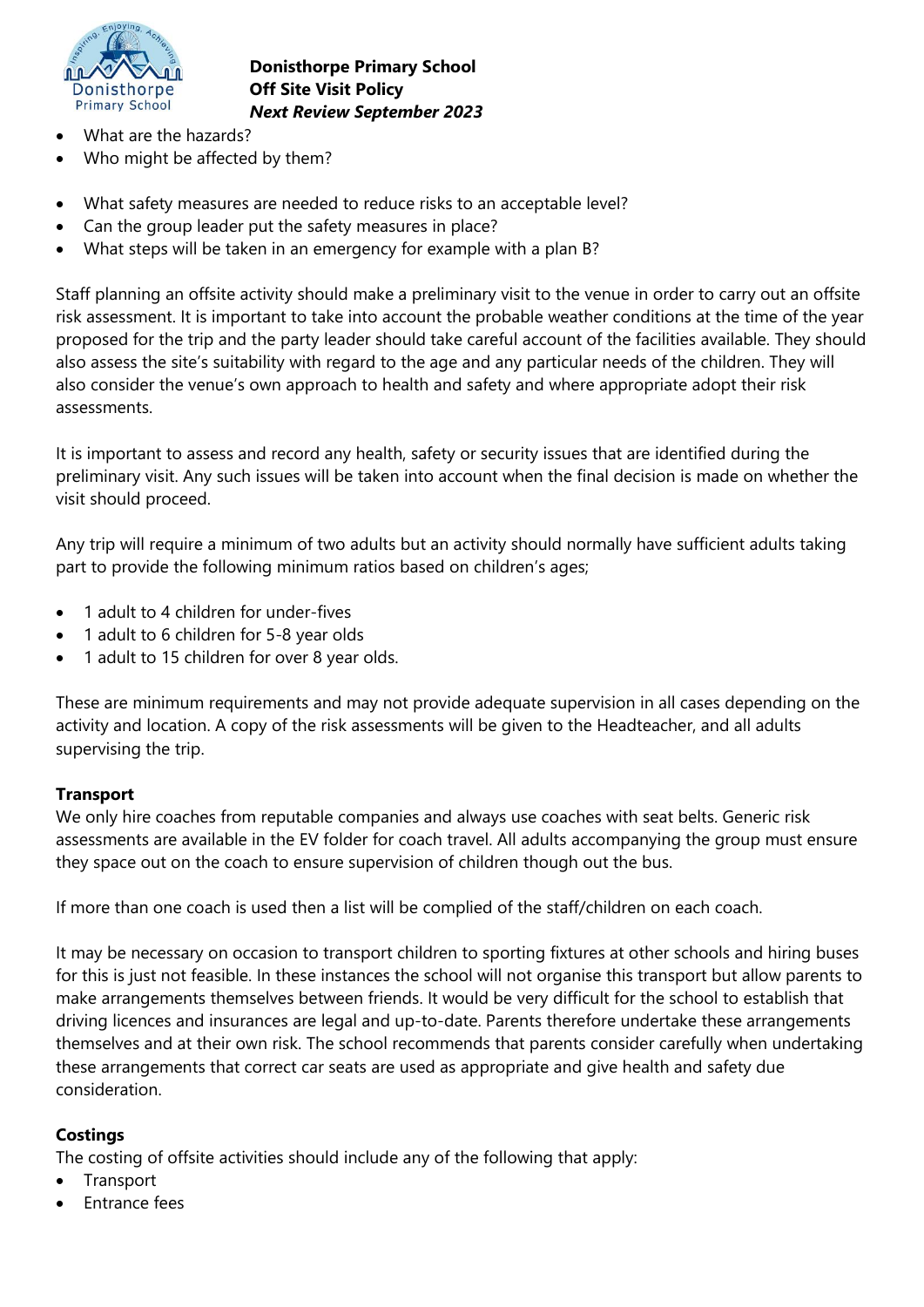

**Donisthorpe Primary School Off Site Visit Policy** *Next Review September 2023*

- What are the hazards?
- Who might be affected by them?
- What safety measures are needed to reduce risks to an acceptable level?
- Can the group leader put the safety measures in place?
- What steps will be taken in an emergency for example with a plan B?

Staff planning an offsite activity should make a preliminary visit to the venue in order to carry out an offsite risk assessment. It is important to take into account the probable weather conditions at the time of the year proposed for the trip and the party leader should take careful account of the facilities available. They should also assess the site's suitability with regard to the age and any particular needs of the children. They will also consider the venue's own approach to health and safety and where appropriate adopt their risk assessments.

It is important to assess and record any health, safety or security issues that are identified during the preliminary visit. Any such issues will be taken into account when the final decision is made on whether the visit should proceed.

Any trip will require a minimum of two adults but an activity should normally have sufficient adults taking part to provide the following minimum ratios based on children's ages;

- 1 adult to 4 children for under-fives
- 1 adult to 6 children for 5-8 year olds
- 1 adult to 15 children for over 8 year olds.

These are minimum requirements and may not provide adequate supervision in all cases depending on the activity and location. A copy of the risk assessments will be given to the Headteacher, and all adults supervising the trip.

### **Transport**

We only hire coaches from reputable companies and always use coaches with seat belts. Generic risk assessments are available in the EV folder for coach travel. All adults accompanying the group must ensure they space out on the coach to ensure supervision of children though out the bus.

If more than one coach is used then a list will be complied of the staff/children on each coach.

It may be necessary on occasion to transport children to sporting fixtures at other schools and hiring buses for this is just not feasible. In these instances the school will not organise this transport but allow parents to make arrangements themselves between friends. It would be very difficult for the school to establish that driving licences and insurances are legal and up-to-date. Parents therefore undertake these arrangements themselves and at their own risk. The school recommends that parents consider carefully when undertaking these arrangements that correct car seats are used as appropriate and give health and safety due consideration.

### **Costings**

The costing of offsite activities should include any of the following that apply:

- **Transport**
- Entrance fees